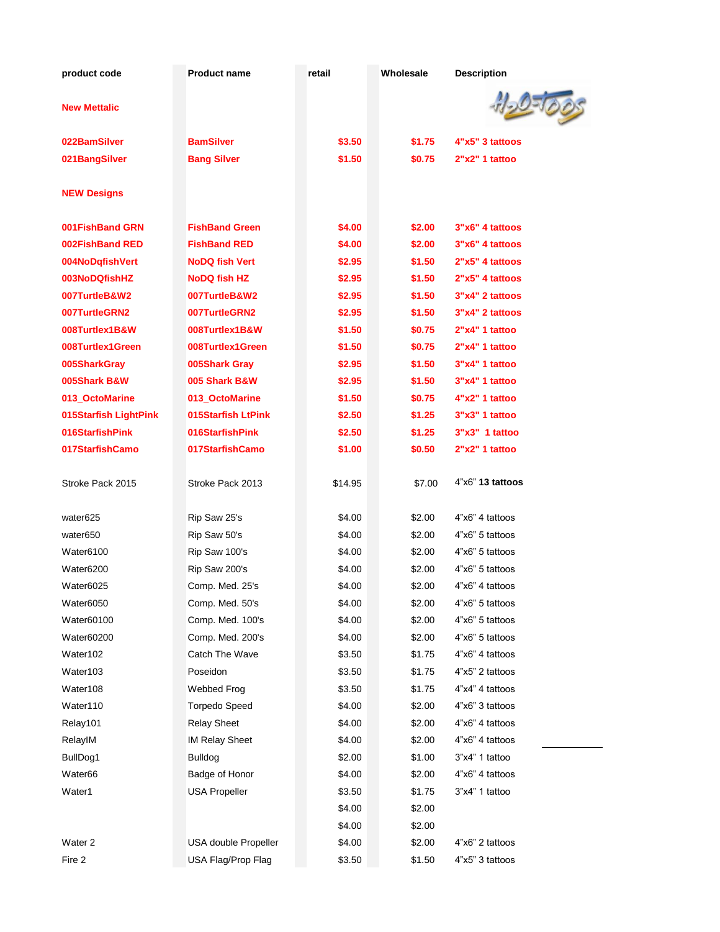| product code          | <b>Product name</b>   | retail  | Wholesale | <b>Description</b> |
|-----------------------|-----------------------|---------|-----------|--------------------|
| <b>New Mettalic</b>   |                       |         |           |                    |
| 022BamSilver          | <b>BamSilver</b>      | \$3.50  | \$1.75    | 4"x5" 3 tattoos    |
| 021BangSilver         | <b>Bang Silver</b>    | \$1.50  | \$0.75    | 2"x2" 1 tattoo     |
| <b>NEW Designs</b>    |                       |         |           |                    |
| 001FishBand GRN       | <b>FishBand Green</b> | \$4.00  | \$2.00    | 3"x6" 4 tattoos    |
| 002FishBand RED       | <b>FishBand RED</b>   | \$4.00  | \$2.00    | 3"x6" 4 tattoos    |
| 004NoDqfishVert       | <b>NoDQ fish Vert</b> | \$2.95  | \$1.50    | 2"x5" 4 tattoos    |
| 003NoDQfishHZ         | <b>NoDQ fish HZ</b>   | \$2.95  | \$1.50    | 2"x5" 4 tattoos    |
| 007TurtleB&W2         | 007TurtleB&W2         | \$2.95  | \$1.50    | 3"x4" 2 tattoos    |
| 007TurtleGRN2         | 007TurtleGRN2         | \$2.95  | \$1.50    | 3"x4" 2 tattoos    |
| 008Turtlex1B&W        | 008Turtlex1B&W        | \$1.50  | \$0.75    | 2"x4" 1 tattoo     |
| 008Turtlex1Green      | 008Turtlex1Green      | \$1.50  | \$0.75    | 2"x4" 1 tattoo     |
| 005SharkGray          | 005Shark Gray         | \$2.95  | \$1.50    | 3"x4" 1 tattoo     |
| 005Shark B&W          | 005 Shark B&W         | \$2.95  | \$1.50    | 3"x4" 1 tattoo     |
| 013_OctoMarine        | 013_OctoMarine        | \$1.50  | \$0.75    | 4"x2" 1 tattoo     |
| 015Starfish LightPink | 015Starfish LtPink    | \$2.50  | \$1.25    | 3"x3" 1 tattoo     |
| 016StarfishPink       | 016StarfishPink       | \$2.50  | \$1.25    | 3"x3" 1 tattoo     |
| 017StarfishCamo       | 017StarfishCamo       | \$1.00  | \$0.50    | 2"x2" 1 tattoo     |
| Stroke Pack 2015      | Stroke Pack 2013      | \$14.95 | \$7.00    | 4"x6" 13 tattoos   |
| water625              | Rip Saw 25's          | \$4.00  | \$2.00    | 4"x6" 4 tattoos    |
| water650              | Rip Saw 50's          | \$4.00  | \$2.00    | 4"x6" 5 tattoos    |
| Water6100             | Rip Saw 100's         | \$4.00  | \$2.00    | 4"x6" 5 tattoos    |
| Water6200             | Rip Saw 200's         | \$4.00  | \$2.00    | 4"x6" 5 tattoos    |
| Water6025             | Comp. Med. 25's       | \$4.00  | \$2.00    | 4"x6" 4 tattoos    |
| Water6050             | Comp. Med. 50's       | \$4.00  | \$2.00    | 4"x6" 5 tattoos    |
| Water60100            | Comp. Med. 100's      | \$4.00  | \$2.00    | 4"x6" 5 tattoos    |
| Water60200            | Comp. Med. 200's      | \$4.00  | \$2.00    | 4"x6" 5 tattoos    |
| Water102              | Catch The Wave        | \$3.50  | \$1.75    | 4"x6" 4 tattoos    |
| Water103              | Poseidon              | \$3.50  | \$1.75    | 4"x5" 2 tattoos    |
| Water108              | Webbed Frog           | \$3.50  | \$1.75    | 4"x4" 4 tattoos    |
| Water110              | <b>Torpedo Speed</b>  | \$4.00  | \$2.00    | 4"x6" 3 tattoos    |
| Relay101              | <b>Relay Sheet</b>    | \$4.00  | \$2.00    | 4"x6" 4 tattoos    |
| RelayIM               | <b>IM Relay Sheet</b> | \$4.00  | \$2.00    | 4"x6" 4 tattoos    |
| BullDog1              | <b>Bulldog</b>        | \$2.00  | \$1.00    | 3"x4" 1 tattoo     |
| Water66               | Badge of Honor        | \$4.00  | \$2.00    | 4"x6" 4 tattoos    |
| Water1                | <b>USA Propeller</b>  | \$3.50  | \$1.75    | 3"x4" 1 tattoo     |
|                       |                       | \$4.00  | \$2.00    |                    |
|                       |                       | \$4.00  | \$2.00    |                    |
| Water <sub>2</sub>    | USA double Propeller  | \$4.00  | \$2.00    | 4"x6" 2 tattoos    |
| Fire 2                | USA Flag/Prop Flag    | \$3.50  | \$1.50    | 4"x5" 3 tattoos    |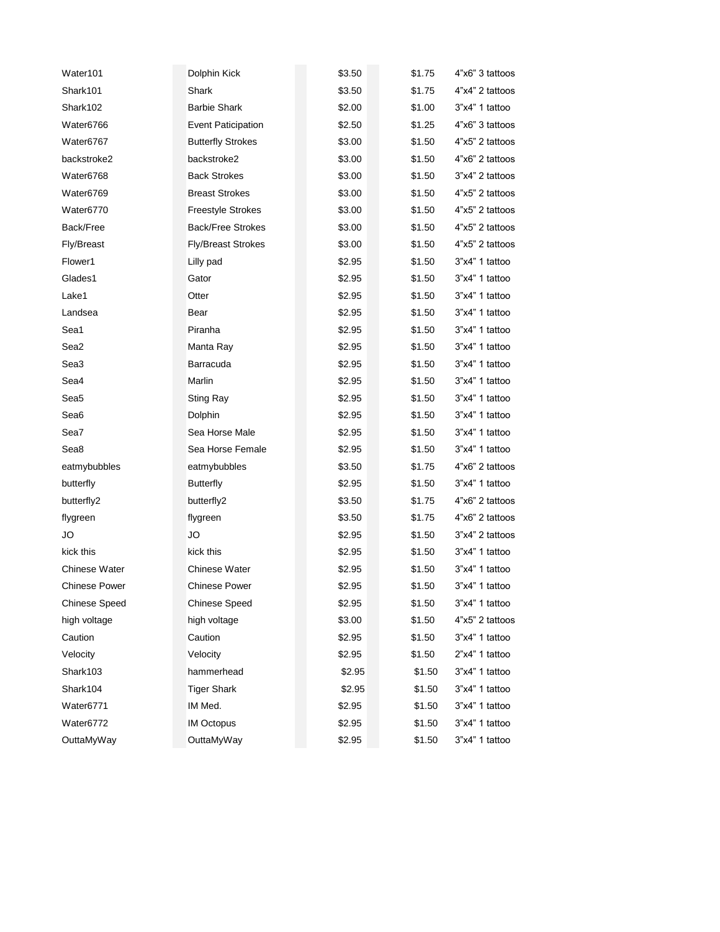| Water101             | Dolphin Kick              | \$3.50 | \$1.75 | 4"x6" 3 tattoos |
|----------------------|---------------------------|--------|--------|-----------------|
| Shark101             | Shark                     | \$3.50 | \$1.75 | 4"x4" 2 tattoos |
| Shark102             | <b>Barbie Shark</b>       | \$2.00 | \$1.00 | 3"x4" 1 tattoo  |
| Water6766            | <b>Event Paticipation</b> | \$2.50 | \$1.25 | 4"x6" 3 tattoos |
| Water6767            | <b>Butterfly Strokes</b>  | \$3.00 | \$1.50 | 4"x5" 2 tattoos |
| backstroke2          | backstroke2               | \$3.00 | \$1.50 | 4"x6" 2 tattoos |
| Water6768            | <b>Back Strokes</b>       | \$3.00 | \$1.50 | 3"x4" 2 tattoos |
| Water6769            | <b>Breast Strokes</b>     | \$3.00 | \$1.50 | 4"x5" 2 tattoos |
| Water6770            | <b>Freestyle Strokes</b>  | \$3.00 | \$1.50 | 4"x5" 2 tattoos |
| Back/Free            | <b>Back/Free Strokes</b>  | \$3.00 | \$1.50 | 4"x5" 2 tattoos |
| <b>Fly/Breast</b>    | <b>Fly/Breast Strokes</b> | \$3.00 | \$1.50 | 4"x5" 2 tattoos |
| Flower1              | Lilly pad                 | \$2.95 | \$1.50 | 3"x4" 1 tattoo  |
| Glades1              | Gator                     | \$2.95 | \$1.50 | 3"x4" 1 tattoo  |
| Lake1                | Otter                     | \$2.95 | \$1.50 | 3"x4" 1 tattoo  |
| Landsea              | Bear                      | \$2.95 | \$1.50 | 3"x4" 1 tattoo  |
| Sea1                 | Piranha                   | \$2.95 | \$1.50 | 3"x4" 1 tattoo  |
| Sea2                 | Manta Ray                 | \$2.95 | \$1.50 | 3"x4" 1 tattoo  |
| Sea <sub>3</sub>     | Barracuda                 | \$2.95 | \$1.50 | 3"x4" 1 tattoo  |
| Sea4                 | Marlin                    | \$2.95 | \$1.50 | 3"x4" 1 tattoo  |
| Sea5                 | <b>Sting Ray</b>          | \$2.95 | \$1.50 | 3"x4" 1 tattoo  |
| Sea6                 | Dolphin                   | \$2.95 | \$1.50 | 3"x4" 1 tattoo  |
| Sea7                 | Sea Horse Male            | \$2.95 | \$1.50 | 3"x4" 1 tattoo  |
| Sea8                 | Sea Horse Female          | \$2.95 | \$1.50 | 3"x4" 1 tattoo  |
| eatmybubbles         | eatmybubbles              | \$3.50 | \$1.75 | 4"x6" 2 tattoos |
| butterfly            | Butterfly                 | \$2.95 | \$1.50 | 3"x4" 1 tattoo  |
| butterfly2           | butterfly2                | \$3.50 | \$1.75 | 4"x6" 2 tattoos |
| flygreen             | flygreen                  | \$3.50 | \$1.75 | 4"x6" 2 tattoos |
| JO                   | JO                        | \$2.95 | \$1.50 | 3"x4" 2 tattoos |
| kick this            | kick this                 | \$2.95 | \$1.50 | 3"x4" 1 tattoo  |
| <b>Chinese Water</b> | <b>Chinese Water</b>      | \$2.95 | \$1.50 | 3"x4" 1 tattoo  |
| <b>Chinese Power</b> | <b>Chinese Power</b>      | \$2.95 | \$1.50 | 3"x4" 1 tattoo  |
| <b>Chinese Speed</b> | <b>Chinese Speed</b>      | \$2.95 | \$1.50 | 3"x4" 1 tattoo  |
| high voltage         | high voltage              | \$3.00 | \$1.50 | 4"x5" 2 tattoos |
| Caution              | Caution                   | \$2.95 | \$1.50 | 3"x4" 1 tattoo  |
| Velocity             | Velocity                  | \$2.95 | \$1.50 | 2"x4" 1 tattoo  |
| Shark103             | hammerhead                | \$2.95 | \$1.50 | 3"x4" 1 tattoo  |
| Shark104             | <b>Tiger Shark</b>        | \$2.95 | \$1.50 | 3"x4" 1 tattoo  |
| Water6771            | IM Med.                   | \$2.95 | \$1.50 | 3"x4" 1 tattoo  |
| Water6772            | <b>IM Octopus</b>         | \$2.95 | \$1.50 | 3"x4" 1 tattoo  |
| OuttaMyWay           | OuttaMyWay                | \$2.95 | \$1.50 | 3"x4" 1 tattoo  |
|                      |                           |        |        |                 |